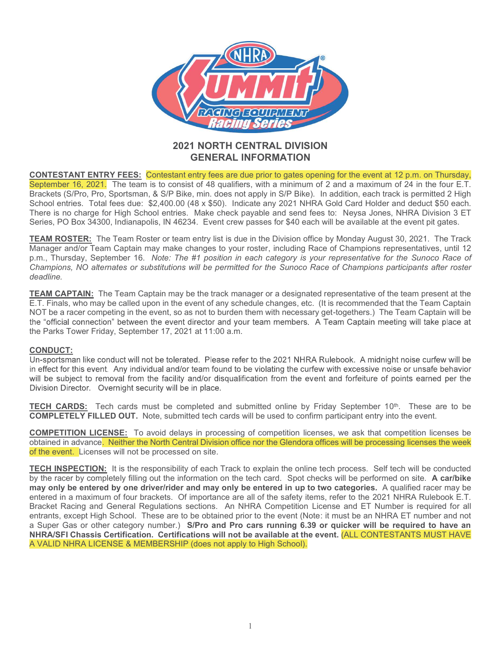

# GENERAL INFORMATION

CONTESTANT ENTRY FEES: Contestant entry fees are due prior to gates opening for the event at 12 p.m. on Thursday, September 16, 2021. The team is to consist of 48 qualifiers, with a minimum of 2 and a maximum of 24 in the SEPTEMBER 16, 2021. NORTH CENTRAL DIVISION CONTESTANT ENTRY FEES: Contestant of APP ACTIVISION CONTESTANT ENTRY FEES: Contestant entry fees are due prior to gates opening for the event at 12 p.m. on Thursday.<br>September 16, **BRACKETS (S/PRO)**<br> **BRACKETS (S/PRO)**<br> **BRACKETS (S/PRO)**<br> **BRACKETS (S/PRO)**<br> **BRACKETS**<br> **BRACKETS**<br> **BRACKETS**<br> **BRACKETS**<br> **BRACKETS**<br> **BRACKETS**<br> **BRACKETS**<br> **BRACKETS**<br> **BRACKETS**<br> **BRACKETS**<br> **BRACKETS**<br> **BRACKETS** SCHOOL ENTRIES. TOTAL FEES: Contestant entry fees are due prior to gates opening for the event at 12 p.m. on Thursday.<br>
September 16, 2021 INDERTAIL AND CONTRACTION CONTRACTION CONTRACTION CONTRACTION CONTRACTION CONTRACTI THERE IS No charge for the state of the state of the School entries. The first notice is no charge for the state of the state of School entries. The team is to consist of 48 qualifiers, with a minimum of 2 and a maximum of SERIES TANK THERE THE TRANSPORTED TO THE CONTEST AND CONTEST AND THE CONTEST AND CONTEST AND CONTEST AND CONTEST AND CONTEST AND CONTEST AND CONTEST AND CONTEST AND CONTEST AND CONTEST AND CONTEST AND CONTEST AND CONTEST A TEAM ROST CONTESTANT ENTRY FEES: Contestant and The Team ROST CONTESTANT CONTESTANT CONTESTANT CONTEST CONTEST CONTEST CONTEST CONTEST CONTEST CONTEST CONTEST CONTEST CONTEST CONTEST CONTEST CONTEST CONTEST CONTEST CONTEST **MANAGER AND CONTESTANT ENTRY FEES:** Contesting the **CENTRAL DIVISION**<br> **EXERCAL INFORMATION**<br> **EXERCAL INFORMATION**<br> **SERGENCE AND CONTESTANT CENTRAL DIVISION**<br> **SERGENCE AND CONTESTANT CENTRAL DIVISION**<br> **SERGENCE AND C** CONTESTANT ENTRY FEES: Contestant of SUN CHAMPION CONTESTANT ENTRY FEES: Contestant of SUN CHAMPION CONTESTANT CENTRAL DIVISION CENTRAL DIVISION CONTESTANT ENTRY FEES: Contestant of 4 3 quartiens with a minimum of 2 and a **FACTIFY SCRIPS**<br>
2021 NORTH CENTRAL DIVISION<br>
CENTRAL INFORMATION<br>
September 16, 2021 The team is to consist of 48 qualifiers, with a minimum of 2 and a maximum of 24 in the four E.<br>
Brackets (SPPo, Pro, Spottsman, & SP)

p.m., Thursday, September 16. Note: The #1 position in each category is your representative for the Sunoco Race of<br>Champions, NO alternates or substitutions will be permitted for the Sunoco Race of Champions participants a deadline. Series, PO Box 34300, Indianapolis, IN 46234. Event crew passes for \$40 each will be available at the event pit gates.<br>
TEAM ROSTER: The Team Roster or team entry list is due in the Division office by Monday August 30, 202

TEAM CAPTAIN: The Team Captain may be the track manager or a designated representative of the team present at the E.T. Finals, who may be called upon in the event of any schedule changes, etc. (It is recommended that the Team Captain NOT be a racer competing in the event, so as not to burden them with necessary get-togethers.) The Team Captain will be

### CONDUCT:

**TECH CARDS:** Tech cards must be completed and submitted online by Friday September 10<sup>th</sup>. These are to be COMPLETELY FILLED OUT. Note, submitted tech cards will be used to confirm participant entry into the event.

obtained in advance. Neither the North Central Division office nor the Glendora offices will be processing licenses the week of the event. Licenses will not be processed on site.

TECH INSPECTION: It is the responsibility of each Track to explain the online tech process. Self tech will be conducted Chempions, MO alternates or substitutions will be permitted for the Suncoc Race of Champions participants after roster<br>
DEAT\_E-TIME TEAM\_CAPTAIN: The Team Captain may be the track manager or a designated representative of deadline.<br>
TEAM CAPTAIN: The Team Captain may be the track manager or a designated representative of the team present at the<br>
TEAM CAPTAIN: Who may be called upon in the event of any schedule changes, etc. (It is recommend TEAM CAPTAIN: The Team Captain may be the track manager or a designated representative of the team present at the ET. Finnish, who may be called upon in the event of any schedule changes, etc. (it is recommended that the T **IEAD COMPLETELY** FILLED OUT. Note, submitted the near fear fears and the section and the ream present at the NOT be a race of competition and the went, as a sect of burden them with necessary get-togethers.) The Team Capt Enter and the event of the event of any sheed to an earth of any stresse, the commented that the remandiation and the event of any sheet of any sheet of any sheet of any content and the enter of the effects are the order o a Super Gas or other category number.) S/Pro and Pro cars running 6.39 or quicker will be required to have an the Omchildren in event interestive in the event interest of any out team members. A learn Capital meeting will take place at the place at CoNDUCT:<br>
Uneportaman like conduct will not be tolerated. Please refer to the 2021 the Parks I ower Friday, September 17, 2021 at 11:00 a.m.<br>
CONBUCT:<br>
CONBUCT:<br>
CONBUCT:<br>
Un-sportsman like conduct will not be tolerated. Please refer to the 2021 NHRA Rulebook. A midnight noise currew will<br>
in effect for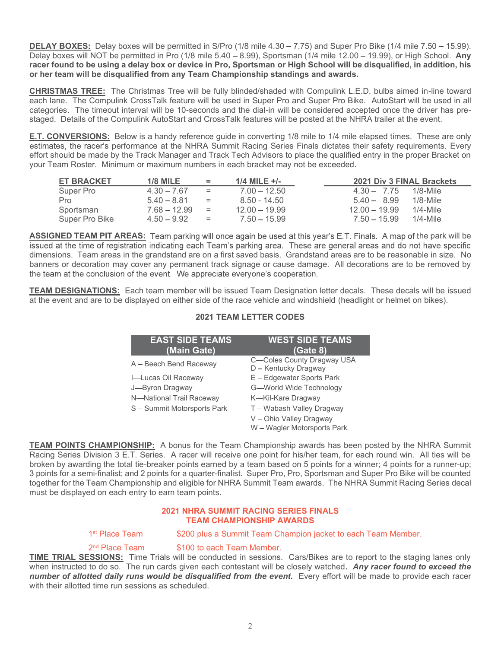DELAY BOXES: Delay boxes will be permitted in S/Pro (1/8 mile 4.30 – 7.75) and Super Pro Bike (1/4 mile 7.50 – 15.99).<br>Delay boxes will NOT be permitted in Pro (1/8 mile 5.40 – 8.99), Sportsman (1/4 mile 12.00 – 19.99), or DELAY BOXES: Delay boxes will be permitted in S/Pro (1/8 mile 4.30 – 7.75) and Super Pro Bike (1/4 mile 7.50 – 15.99).<br>Delay boxes will NOT be permitted in Pro (1/8 mile 5.40 – 8.99), Sportsman (1/4 mile 12.00 – 19.99), or **DELAY BOXES:** Delay boxes will be permitted in S/Pro (1/8 mile 4.30 – 7.75) and Super Pro Bike (1/4 mile 7.50 – 15.99).<br>Delay boxes will NOT be permitted in Pro (1/8 mile 5.40 – 8.99), Sportsman (1/4 mile 12.00 – 19.99), or her team will be disqualified from any Team Championship standings and awards.

**DELAY BOXES:** Delay boxes will be permitted in S/Pro (1/8 mile 4.30 – 7.75) and Super Pro Bike (1/4 mile 7.50 – 15.99). Delay boxes will NOT be permitted in Pro (1/8 mile 5.40 – 8.99), Sportsman (1/4 mile 12.00 – 19.99), **DELAY BOXES:** Delay boxes will be permitted in S/Pro (1/8 mile 4.30 – 7.75) and Super Pro Bike (1/4 mile 7.50 – 15.99). Delay boxes will NOT be permitted in Pro (1/8 mile 5.40 – 8.99), Sportsman (1/4 mile 12.00 – 19.99), estimates, the racer's performance at the NHRA Summit Racing Series Finals dictates their safety requirements. Every effort should be made by the Track Manager and Track Tech Advisors to place the qualified entry in the proper Bracket on

| <b>DELAY BOXES:</b> Delay boxes will be permitted in S/Pro (1/8 mile 4.30 – 7.75) and Super Pro Bike (1/4 mile 7.50 – 15.99).<br>Delay boxes will NOT be permitted in Pro (1/8 mile 5.40 – 8.99), Sportsman (1/4 mile 12.00 – 19.99), or High School. Any<br>racer found to be using a delay box or device in Pro, Sportsman or High School will be disqualified, in addition, his<br>or her team will be disqualified from any Team Championship standings and awards.                      |                                       |            |                                   |                                    |                            |
|----------------------------------------------------------------------------------------------------------------------------------------------------------------------------------------------------------------------------------------------------------------------------------------------------------------------------------------------------------------------------------------------------------------------------------------------------------------------------------------------|---------------------------------------|------------|-----------------------------------|------------------------------------|----------------------------|
| CHRISTMAS TREE: The Christmas Tree will be fully blinded/shaded with Compulink L.E.D. bulbs aimed in-line toward<br>each lane. The Compulink CrossTalk feature will be used in Super Pro and Super Pro Bike. AutoStart will be used in all<br>categories. The timeout interval will be 10-seconds and the dial-in will be considered accepted once the driver has pre-<br>staged. Details of the Compulink AutoStart and CrossTalk features will be posted at the NHRA trailer at the event. |                                       |            |                                   |                                    |                            |
| E.T. CONVERSIONS: Below is a handy reference guide in converting 1/8 mile to 1/4 mile elapsed times. These are only<br>estimates, the racer's performance at the NHRA Summit Racing Series Finals dictates their safety requirements. Every<br>effort should be made by the Track Manager and Track Tech Advisors to place the qualified entry in the proper Bracket on<br>your Team Roster. Minimum or maximum numbers in each bracket may not be exceeded.                                 |                                       |            |                                   |                                    |                            |
| <b>ET BRACKET</b>                                                                                                                                                                                                                                                                                                                                                                                                                                                                            | <b>1/8 MILE</b>                       | $\equiv$   | 1/4 MILE $+/-$                    |                                    | 2021 Div 3 FINAL Brackets  |
| Super Pro<br>Pro                                                                                                                                                                                                                                                                                                                                                                                                                                                                             | $4.30 - 7.67$<br>$5.40 - 8.81$        | $=$<br>$=$ | $7.00 - 12.50$<br>8.50 - 14.50    | $4.30 - 7.75$<br>$5.40 - 8.99$     | $1/8$ -Mile<br>$1/8$ -Mile |
| Sportsman<br>Super Pro Bike                                                                                                                                                                                                                                                                                                                                                                                                                                                                  | $7.68 - 12.99$<br>$4.50 - 9.92$       | $=$<br>$=$ | $12.00 - 19.99$<br>$7.50 - 15.99$ | $12.00 - 19.99$<br>$7.50 - 15.99$  | $1/4$ -Mile<br>$1/4$ -Mile |
| <b>ASSIGNED TEAM PIT AREAS:</b> Team parking will once again be used at this year's E.T. Finals. A map of the park will be<br>issued at the time of registration indicating each Team's parking area. These are general areas and do not have specific                                                                                                                                                                                                                                       |                                       |            |                                   |                                    |                            |
| dimensions. Team areas in the grandstand are on a first saved basis. Grandstand areas are to be reasonable in size. No<br>banners or decoration may cover any permanent track signage or cause damage. All decorations are to be removed by<br>the team at the conclusion of the event. We appreciate everyone's cooperation.                                                                                                                                                                |                                       |            |                                   |                                    |                            |
| TEAM DESIGNATIONS: Each team member will be issued Team Designation letter decals. These decals will be issued<br>at the event and are to be displayed on either side of the race vehicle and windshield (headlight or helmet on bikes).                                                                                                                                                                                                                                                     |                                       |            |                                   |                                    |                            |
|                                                                                                                                                                                                                                                                                                                                                                                                                                                                                              |                                       |            | <b>2021 TEAM LETTER CODES</b>     |                                    |                            |
|                                                                                                                                                                                                                                                                                                                                                                                                                                                                                              | <b>EAST SIDE TEAMS</b><br>(Main Gate) |            |                                   | <b>WEST SIDE TEAMS</b><br>(Gate 8) |                            |

| <b>CKET</b>              | <b>1/8 MILE</b>                                                                                                                                                                                              | $=$        | 1/4 MILE +/-                                                                                                                                                                                                                                                                                                                                                                                                                                                                                                                                                                                                                                                                                                                                                                                            |                                | 2021 Div 3 FINAL Brackets  |
|--------------------------|--------------------------------------------------------------------------------------------------------------------------------------------------------------------------------------------------------------|------------|---------------------------------------------------------------------------------------------------------------------------------------------------------------------------------------------------------------------------------------------------------------------------------------------------------------------------------------------------------------------------------------------------------------------------------------------------------------------------------------------------------------------------------------------------------------------------------------------------------------------------------------------------------------------------------------------------------------------------------------------------------------------------------------------------------|--------------------------------|----------------------------|
|                          | $4.30 - 7.67$<br>$5.40 - 8.81$                                                                                                                                                                               | $=$<br>$=$ | $7.00 - 12.50$<br>$8.50 - 14.50$                                                                                                                                                                                                                                                                                                                                                                                                                                                                                                                                                                                                                                                                                                                                                                        | $4.30 - 7.75$<br>$5.40 - 8.99$ | $1/8$ -Mile<br>$1/8$ -Mile |
| n                        | $7.68 - 12.99$                                                                                                                                                                                               | $=$        | $12.00 - 19.99$                                                                                                                                                                                                                                                                                                                                                                                                                                                                                                                                                                                                                                                                                                                                                                                         | $12.00 - 19.99$                | $1/4$ -Mile                |
| Bike כ                   | $4.50 - 9.92$                                                                                                                                                                                                | $=$        | $7.50 - 15.99$                                                                                                                                                                                                                                                                                                                                                                                                                                                                                                                                                                                                                                                                                                                                                                                          | $7.50 - 15.99$                 | $1/4$ -Mile                |
|                          |                                                                                                                                                                                                              |            | <b>IN PIT AREAS:</b> Team parking will once again be used at this year's E.T. Finals. A map of the park will be<br>of registration indicating each Team's parking area. These are general areas and do not have specific<br>m areas in the grandstand are on a first saved basis. Grandstand areas are to be reasonable in size. No<br>ation may cover any permanent track signage or cause damage. All decorations are to be removed by<br>onclusion of the event. We appreciate everyone's cooperation.<br>TIONS: Each team member will be issued Team Designation letter decals. These decals will be issued                                                                                                                                                                                         |                                |                            |
|                          |                                                                                                                                                                                                              |            | are to be displayed on either side of the race vehicle and windshield (headlight or helmet on bikes).                                                                                                                                                                                                                                                                                                                                                                                                                                                                                                                                                                                                                                                                                                   |                                |                            |
|                          |                                                                                                                                                                                                              |            | <b>2021 TEAM LETTER CODES</b>                                                                                                                                                                                                                                                                                                                                                                                                                                                                                                                                                                                                                                                                                                                                                                           |                                |                            |
|                          | <b>EAST SIDE TEAMS</b><br>(Main Gate)<br>A - Beech Bend Raceway<br>I-Lucas Oil Raceway<br>J-Byron Dragway<br>N-National Trail Raceway<br>S - Summit Motorsports Park<br>I on each entry to earn team points. |            | <b>WEST SIDE TEAMS</b><br>(Gate 8)<br>C-Coles County Dragway USA<br>D - Kentucky Dragway<br>E - Edgewater Sports Park<br>G-World Wide Technology<br>K-Kil-Kare Dragway<br>T-Wabash Valley Dragway<br>V - Ohio Valley Dragway<br>W - Wagler Motorsports Park<br>HAMPIONSHIP: A bonus for the Team Championship awards has been posted by the NHRA Summit<br>vision 3 E.T. Series. A racer will receive one point for his/her team, for each round win. All ties will be<br>ng the total tie-breaker points earned by a team based on 5 points for a winner; 4 points for a runner-up;<br>i-finalist; and 2 points for a quarter-finalist. Super Pro, Pro, Sportsman and Super Pro Bike will be counted<br>eam Championship and eligible for NHRA Summit Team awards. The NHRA Summit Racing Series decal |                                |                            |
|                          |                                                                                                                                                                                                              |            | <b>2021 NHRA SUMMIT RACING SERIES FINALS</b><br><b>TEAM CHAMPIONSHIP AWARDS</b>                                                                                                                                                                                                                                                                                                                                                                                                                                                                                                                                                                                                                                                                                                                         |                                |                            |
| st Place Team            |                                                                                                                                                                                                              |            | \$200 plus a Summit Team Champion jacket to each Team Member.                                                                                                                                                                                                                                                                                                                                                                                                                                                                                                                                                                                                                                                                                                                                           |                                |                            |
| <sup>nd</sup> Place Team | time run sessions as scheduled.                                                                                                                                                                              |            | \$100 to each Team Member.<br><b>SSIONS:</b> Time Trials will be conducted in sessions. Cars/Bikes are to report to the staging lanes only<br>o do so. The run cards given each contestant will be closely watched. Any racer found to exceed the<br>ed daily runs would be disqualified from the event. Every effort will be made to provide each racer                                                                                                                                                                                                                                                                                                                                                                                                                                                |                                |                            |
|                          |                                                                                                                                                                                                              |            |                                                                                                                                                                                                                                                                                                                                                                                                                                                                                                                                                                                                                                                                                                                                                                                                         |                                |                            |

ASSIGNED TEAM PITAREAS; Team perking will once again be used at this year's E.T. Finis. A many of the particular<br>sisued at the dimensions. These are general areas in the grandstand area on first staved basis. Grandstand a Racing Series Division 3 E.T. Series. A racer will receive one point for his/her team, for each round win. All ties will be broken by awarding the total tie-breaker points earned by a team based on 5 points for a winner; 4 points for a runner-up; banners or decoration may cover any permanent track signage or cause damage. All decorations are to be removed by<br> **TEAM DESIGNATIONS:** Each team member will be issued Team Designation letter decals. These decals will be the team at the conclusion of the event. We appreciate everyone's cooperation.<br>
TEAM DESIGNATIONS: Each team member will be issued Team Designation letter decals. These decals will be issued<br>
at the event and are to be dis must be displayed on each entry to earn team points.

# TEAM CHAMPIONSHIP AWARDS

TIME TRIAL SESSIONS: Time Trials will be conducted in sessions. Cars/Bikes are to report to the staging lanes only when instructed to do so. The run cards given each contestant will be closely watched. Any racer found to exceed the number of allotted daily runs would be disqualified from the event. Every effort will be made to provide each racer with their allotted time run sessions as scheduled.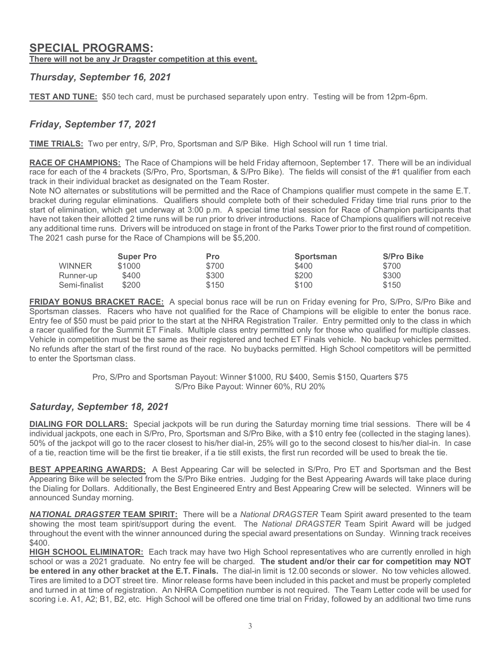# SPECIAL PROGRAMS:

There will not be any Jr Dragster competition at this event.

SPECIAL PROGRAMS:<br>There will not be any Jr Dragster competition at this event.<br>Thursday, September 16, 2021<br>TEST AND TUNE: \$50 tech card, must be purchased separately upon entry. Testing will be from 12pm-6p<br>Friday, Septem TEST AND TUNE: \$50 tech card, must be purchased separately upon entry. Testing will be from 12pm-6pm.

SPECIAL PROGRAMS:<br>There will not be any Jr Dragster competition at this event.<br>Thursday, September 16, 2021<br>FRIDAY, September 17, 2021<br>TIME TRIALS: Two per entry, S/P, Pro, Sportsman and S/P Bike. High School will run 1 ti **SPECIAL PROGRAMS:**<br>
There will not be any Jr Dragster competition at this event.<br>
Thursday, September 16, 2021<br>
TEST AND TUNE: \$50 tech card, must be purchased separately upon entry. Testing will be from 12pm-6pm.<br>
Friday race for each of the 4 brackets (S/Pro, Pro, Sportsman, & S/Pro Bike). The fields will consist of the #1 qualifier from each track in their individual bracket as designated on the Team Roster.

**SPECIAL PROGRAMS:**<br>There will not be any Jr Dragster competition at this event.<br>Thursday, September 16, 2021<br>TEST AND TUNE: \$50 tech card, must be purchased separately upon entry. Testing will be from 12pm-6pm.<br>Friday, Se Note NO alternates or substitutions will be permitted and the Race of Champions qualifier must compete in the same E.T. **SPECIAL PROGRAMS:**<br> **Thursday, September 16, 2021**<br> **TEST AND TUNE:** \$50 tech card, must be purchased separately upon entry. Testing will be from 12pm-6pm.<br>
Friday, September 17, 2021<br>
<u>TIME TRIALS:</u> Two per entry, S/P, P start of elimination, which get underway at 3:00 p.m. A special time trial session for Race of Champion participants that **SPECIAL PROGRAMS:**<br> **Their will not be any Jr Dragster competition at this event.**<br> **Thursday, September 16, 2021**<br> **THEST AND TUINE:** \$50 tech card, must be purchased separately upon entry. Testing will be from 12pm-6pm any additional time runs. Drivers will be introduced on stage in front of the Parks Tower prior to the first round of competition. **SPECIAL PROGRAMS:**<br>
There will not be any Jr Dragster competition at this event.<br>
Thursday, September 16, 2021<br>
TEST AND TUNE: \$50 tech card, must be purchased separately upon entry. Testing<br>
Friday, September 17, 2021<br>
T **RAMS:**<br> **RAMS:**<br> **RAMS:**<br> **RAMS:**<br> **RAMS:**<br> **RAMS:**<br> **RAMS:**<br> **RAMS:**<br> **RAMS:**<br> **RAMS:**<br> **RAMS:**<br> **RAMS:**<br> **RAMS:**<br> **RAMS:**<br> **RAMS:**<br> **RAMS:**<br> **RAMS:**<br> **RAMS:**<br> **RAMS:**<br> **RAMS:**<br> **RAMS:**<br> **RAMS:**<br> **RAMS:**<br> **RAMS:**<br> **RAMS Example 111 not be any Jr Dragster competition at this event,<br>
Nay, September 16, 2021<br>
ND TUNE: \$50 tech card, must be purchased separately upon entry. Testing will be from 12pm-6pm.<br>
<b>September 17, 2021**<br>
September 17, **Example 17 and 2000**<br> **Example 176, 2021**<br> **Example 176, 2021**<br> **Example 18:** \$50 tech card, must be purchased separately upon entry. Testing will be from 12pm-6pm.<br> **Substrainer 17, 2021**<br> **Runner-UP 17, 2021**<br> **RUNNEDN Example 19. 2021**<br> **ND TUNE:** \$50 tech card, must be purchased separately upon entry. Testing will be from 12pm-6pm.<br> **September 17, 2021**<br> **September 17, 2021**<br> **September 17, 2021**<br> **September 17, 2021**<br> **Semi-Finalist** 

|               | <b>Super Pro</b> | <b>Pro</b> | <b>Sportsman</b> | <b>S/Pro Bike</b> |
|---------------|------------------|------------|------------------|-------------------|
| <b>WINNER</b> | \$1000           | \$700      | \$400            | \$700             |
| Runner-up     | \$400            | \$300      | \$200            | \$300             |
| Semi-finalist | \$200            | \$150      | \$100            | \$150             |

TEST AND TUNE: \$50 tech card, must be purchased separately upon entry. Testing will be from 12pm-6pm.<br>
Friday, September 17, 2021<br>
TIME TRIALS: Two per entry, S/P, Pro, Spotsman and S/P Bike. High School will run 1 time tr **EST ARC TORE:** 300 text it and, must be punctased separately upon emity, resum will be intimated in the transmit<br> **ERIALS:** Two per entry, S/P, Pro, Sportsman and S/P Bike. High School will run 1 time trial.<br> **RACE OF CHA** Friday, September 17, 2021<br>
TIME TRIALS: Two per entry, S/P, Pro, Spotsman and S/P Bike. High School will run 1 time trial.<br>
RACE OF CHAMPIONS: The Race of Champions will be had Friday attemoon, September 17. There will b **Friday, September 17, 2021**<br> **TIME TRIALS:** Two per entry, S/P, Pro, Sportsman and S/P Bike. High School will run 1 time trial.<br> **RACE OF CHAMPIONS:** The Race of Champions will be hald Friday afternoon, September 17. Ther Vehicle in competition must be the same as their registered and teched ET Finals vehicle. No backup vehicles permitted. No refunds after the start of the first round of the race. No buybacks permitted. High School competitors will be permitted to enter the Sportsman class. Now The transmission of the matter of the matter of the same of the same of the same of the same of the same of the same of the same of the same of the same of the same of the same of the same of the same of the same of th EXAMIST SAD SUD SAD SUD SAD SUD SAD SUD SAD SAD STO STO STO STO STO STO STO STO STO SHOW AND STO STO STO SHOW AND STO STO SHOW AND STO STO SHOW AND SURFAIGHT PACK SERVE TRACE: A SPECIFY AND SURFAIGHT CHAPT SUPPOSE THE SUPP Entry the or solomist be paid op not to the start at the NHKA Registration. I rainty are much that the presentation is the base in which with the data in conjection must be the same as their registered and technol RN colla

Pro, S/Pro and Sportsman Payout: Winner \$1000, RU \$400, Semis \$150, Quarters \$75 S/Pro Bike Payout: Winner 60%, RU 20%

DIALING FOR DOLLARS: Special jackpots will be run during the Saturday morning time trial sessions. There will be 4 individual jackpots, one each in S/Pro, Pro, Sportsman and S/Pro Bike, with a \$10 entry fee (collected in the staging lanes). 50% of the jackpot will go to the racer closest to his/her dial-in, 25% will go to the second closest to his/her dial-in. In case of a tie, reaction time will be the first tie breaker, if a tie still exists, the first run recorded will be used to break the tie.

BEST APPEARING AWARDS: A Best Appearing Car will be selected in S/Pro, Pro ET and Sportsman and the Best Appearing Bike will be selected from the S/Pro Bike entries. Judging for the Best Appearing Awards will take place during announced Sunday morning.

**NATIONAL DRAGSTER TEAM SPIRIT:** There will be a National DRAGSTER Team Spirit award presented to the team showing the most team spirit/support during the event. The National DRAGSTER Team Spirit Award will be judged \$400.

**HIGH SCHOOL ELIMINATOR:** Each track may have two High School representatives who are currently enrolled in high No enterds a ther the start or the rises. No buybacks permitted. High School competitors will be permitted<br>
For elitre the Sportsman class.<br>
Fro S/Fro Bike Payout: Winner 61960, RU 3400, Semis \$150, Quarters \$75<br>
Saturday, be entered in any other bracket at the E.T. Finals. The dial-in limit is 12.00 seconds or slower. No tow vehicles allowed. Tires are limited to a DOT street tire. Minor release forms have been included in this packet and must be properly completed and turned in at time of registration. An NHRA Competition number is not required. The Team Letter code will be used for scoring i.e. A1, A2; B1, B2, etc. High School will be offered one time trial on Friday, followed by an additional two time runs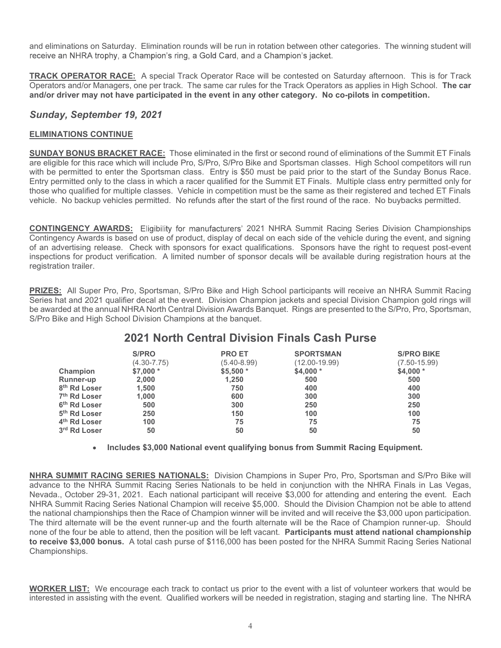receive an NHRA trophy, a Champion's ring, a Gold Card, and a Champion's jacket.

and eliminations on Saturday. Elimination rounds will be run in rotation between other categories. The winning student will<br>receive an NHRA trophy, a Champion's ring, a Gold Card, and a Champion's jacket.<br>**TRACK OPERATOR R** TRACK OPERATOR RACE: A special Track Operator Race will be contested on Saturday afternoon. This is for Track Operators and/or Managers, one per track. The same car rules for the Track Operators as applies in High School. The car and eliminations on Saturday. Elimination rounds will be run in rotation between other categories. The winning student will<br>receive an NHRA trophy, a Champion's ring, a Gold Card, and a Champion's jacket.<br>TRACK OPERATOR RA

## Sunday, September 19, 2021

## ELIMINATIONS CONTINUE

and eliminations on Saturday. Elimination rounds will be run in rotation between other categories. The winning student will<br>receive an NHRA trophy, a Champion's ring, a Gold Card, and a Champion's jacket.<br>TRACK OPERATOR RA are eligible for this race which will include Pro, S/Pro, S/Pro Bike and Sportsman classes. High School competitors will run with be permitted to enter the Sportsman class. Entry is \$50 must be paid prior to the start of the Sunday Bonus Race. and eliminations on Saturday. Elimination rounds will be run in rotation between other categories. The winning student will<br>TRACK OPERATOR RACE: A special Track Operator Race will be contracted on Saturday afternoon. This those who qualified for multiple classes. Vehicle in competition must be the same as their registered and teched ET Finals vehicle. No backup vehicles permitted. No refunds after the start of the first round of the race. No buybacks permitted. and eliminations on Saturday. Elimination rounds will be run in rotation between other categories. The winning student will<br>TRACK OPERATOR RACE: A special Track Operator Race will be contested on Saturday afternoon. This i CONTINGENCY AND IREVERT THIS SHIRLED IN THE CONFIRMED (SPECIAL AT THIS CONFIRMED AT THIS CONFIRMED AT THIS CONFIRMED AT THIS CONFIRMED THE CONFIRMED THAT A SUCCESS TO THE CHAMPION CONTINUE SUNDAY BONUS BRACKET RACE: Those be a contributed at the sportsmann control of the annual NHRA SUMMATIONS CONTINUE<br> **ELIMINATIONS CONTINUE**<br> **ELIMINATIONS CONTINUE TERS**<br> **ELIMINATIONS CONTINUE TERS**<br> **ELIMINATIONS CONTINUE TERS**<br> **ELIMINATIONS CONTINUE A SUNDAY September 19, 2021**<br> **ELIMINATIONS CONTINUE**<br> **SUNDAY BONUS BRACKET RACE:** Those eliminated in the first or second round of eliminations of the Summit ET Finals<br>
are eligible for this race which will include Pro, **JE**<br> **IET RACE:** Those eliminated in the first or second round of eliminations of the Summit ET Finals<br>
include Pro, S/Pro, S/Pro Bike and Sportsman classes. High School competitors will me<br>
the Sportsman class. Entry is **TRACE:** Those eliminated in the first or second round of eliminations of the Summit ET Finals<br>
In will include Pro, S/Pro. S/Pro Bike and Sportsman classes. High School competitors will run<br>
ass. Entry is S50 must be pai

Contingency Awards is based on use of product, display of decal on each side of the vehicle during the event, and signing of an advertising release. Check with sponsors for exact qualifications. Sponsors have the right to request post-event inspections for product verification. A limited number of sponsor decals will be available during registration hours at the registration trailer.

PRIZES: All Super Pro, Pro, Sportsman, S/Pro Bike and High School participants will receive an NHRA Summit Racing

| <b>IGENCY AWARDS:</b> Eligibility for manufacturers' 2021 NHRA Summit Racing Series Division Championships<br>ency Awards is based on use of product, display of decal on each side of the vehicle during the event, and signing<br>dvertising release. Check with sponsors for exact qualifications. Sponsors have the right to request post-event<br>ons for product verification. A limited number of sponsor decals will be available during registration hours at the<br>ion trailer.<br>: All Super Pro, Pro, Sportsman, S/Pro Bike and High School participants will receive an NHRA Summit Racing<br>at and 2021 qualifier decal at the event. Division Champion jackets and special Division Champion gold rings will<br>ded at the annual NHRA North Central Division Awards Banquet. Rings are presented to the S/Pro, Pro, Sportsman,<br>ike and High School Division Champions at the banquet.<br><b>2021 North Central Division Finals Cash Purse</b><br>S/PRO<br><b>PRO ET</b><br><b>SPORTSMAN</b><br><b>S/PRO BIKE</b><br>$(4.30 - 7.75)$<br>$(7.50 - 15.99)$<br>$(5.40 - 8.99)$<br>$(12.00 - 19.99)$<br>Champion<br>$$7,000*$<br>$$5,500*$<br>$$4,000*$<br>$$4,000*$<br>Runner-up<br>2,000<br>1,250<br>500<br>500<br>8 <sup>th</sup> Rd Loser<br>1,500<br>750<br>400<br>400<br>7 <sup>th</sup> Rd Loser<br>1,000<br>300<br>600<br>300<br>6 <sup>th</sup> Rd Loser<br>500<br>300<br>250<br>250<br>5 <sup>th</sup> Rd Loser<br>250<br>150<br>100<br>100<br>4 <sup>th</sup> Rd Loser<br>100<br>75<br>75<br>75<br>3rd Rd Loser<br>50<br>50<br>50<br>50<br>Includes \$3,000 National event qualifying bonus from Summit Racing Equipment. | <b>SUMMIT RACING SERIES NATIONALS:</b> Division Champions in Super Pro, Pro, Sportsman and S/Pro Bike will<br>$\mathbf{r}$ |  |  | Y BONUS BRACKET RACE: Those eliminated in the first or second round of eliminations of the Summit ET Finals<br>ble for this race which will include Pro, S/Pro, S/Pro Bike and Sportsman classes. High School competitors will run<br>permitted to enter the Sportsman class. Entry is \$50 must be paid prior to the start of the Sunday Bonus Race.<br>rmitted only to the class in which a racer qualified for the Summit ET Finals. Multiple class entry permitted only for<br>ho qualified for multiple classes. Vehicle in competition must be the same as their registered and teched ET Finals<br>No backup vehicles permitted. No refunds after the start of the first round of the race. No buybacks permitted. |  |
|-------------------------------------------------------------------------------------------------------------------------------------------------------------------------------------------------------------------------------------------------------------------------------------------------------------------------------------------------------------------------------------------------------------------------------------------------------------------------------------------------------------------------------------------------------------------------------------------------------------------------------------------------------------------------------------------------------------------------------------------------------------------------------------------------------------------------------------------------------------------------------------------------------------------------------------------------------------------------------------------------------------------------------------------------------------------------------------------------------------------------------------------------------------------------------------------------------------------------------------------------------------------------------------------------------------------------------------------------------------------------------------------------------------------------------------------------------------------------------------------------------------------------------------------------------------------------------------------------------------------------------------------------------|----------------------------------------------------------------------------------------------------------------------------|--|--|---------------------------------------------------------------------------------------------------------------------------------------------------------------------------------------------------------------------------------------------------------------------------------------------------------------------------------------------------------------------------------------------------------------------------------------------------------------------------------------------------------------------------------------------------------------------------------------------------------------------------------------------------------------------------------------------------------------------------|--|
|                                                                                                                                                                                                                                                                                                                                                                                                                                                                                                                                                                                                                                                                                                                                                                                                                                                                                                                                                                                                                                                                                                                                                                                                                                                                                                                                                                                                                                                                                                                                                                                                                                                       |                                                                                                                            |  |  |                                                                                                                                                                                                                                                                                                                                                                                                                                                                                                                                                                                                                                                                                                                           |  |
|                                                                                                                                                                                                                                                                                                                                                                                                                                                                                                                                                                                                                                                                                                                                                                                                                                                                                                                                                                                                                                                                                                                                                                                                                                                                                                                                                                                                                                                                                                                                                                                                                                                       |                                                                                                                            |  |  |                                                                                                                                                                                                                                                                                                                                                                                                                                                                                                                                                                                                                                                                                                                           |  |
|                                                                                                                                                                                                                                                                                                                                                                                                                                                                                                                                                                                                                                                                                                                                                                                                                                                                                                                                                                                                                                                                                                                                                                                                                                                                                                                                                                                                                                                                                                                                                                                                                                                       |                                                                                                                            |  |  |                                                                                                                                                                                                                                                                                                                                                                                                                                                                                                                                                                                                                                                                                                                           |  |

NHRA SUMMIT RACING SERIES NATIONALS: Division Champions in Super Pro, Pro, Sportsman and S/Pro Bike will advance to the NHRA Summit Racing Series Nationals to be held in conjunction with the NHRA Finals in Las Vegas, **PRIZES:** All Super Pro, Pro, Sportsman, S/Pro Bike and High School participants will receive an NHRA Summit Racing<br>Series hat and 2021 qualifier decal at the event. Division Champion jackets and pecical Division Champion NHRA Summit Racing Series National Champion will receive \$5,000. Should the Division Champion not be able to attend<br>the national championships then the Race of Champion winner will be invited and will receive the \$3,000 up the national court of the NHRA Summit Peach of Champion Scan and Division Champion Space of Champion SPP Bike and High School Division Champion st the banquet.<br>
SPPio Bike and High School Division Champions at the banquet. The third alternate will be the event runner-up and the fourth alternate will be the Race of Champion runner-up. Should none of the four be able to attend, then the position will be left vacant. Participants must attend national championship **2021 North Central Division Finals Cash Purse**<br>  $(12.03-18.09)$ <br>
Case of  $(12.03-18.09)$ <br>
Runner-up<br>  $2,000$ <br>  $\frac{1}{2}$ <br>  $\frac{1}{2}$ <br>  $\frac{1}{2}$ <br>  $\frac{1}{2}$ <br>  $\frac{1}{2}$ <br>  $\frac{1}{2}$ <br>  $\frac{1}{2}$ <br>  $\frac{1}{2}$ <br>  $\frac{1}{2}$ <br>  $\frac{1}{2}$ <br> Championships. WORKER LIST: We encourage each track to contact us prior to the event with a list of volunteer workers that would be interested in assisting with the event. Qualified workers will be needed in registration, staging and starting line. The NHRA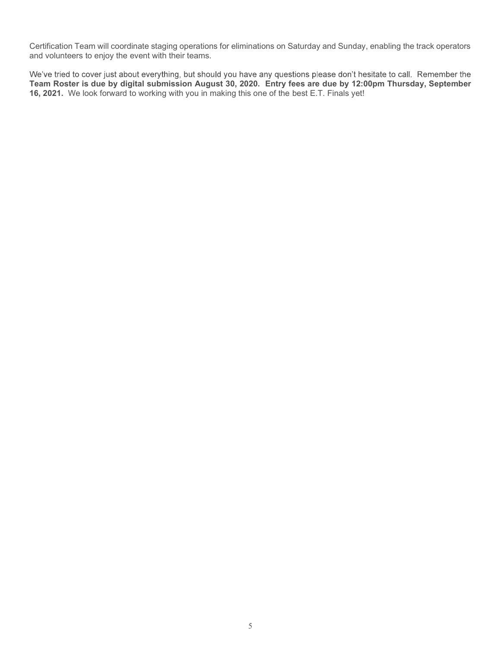Certification Team will coordinate staging operations for eliminations on Saturday and Sunday, enabling the track operators and volunteers to enjoy the event with their teams.

Certification Team will coordinate staging operations for eliminations on Saturday and Sunday, enabling the track operators<br>and volunteers to enjoy the event with their teams.<br>We've tried to cover just about everything, bu Certification Team will coordinate staging operations for eliminations on Saturday and Sunday<br>and volunteers to enjoy the event with their teams.<br>We've tried to cover just about everything, but should you have any question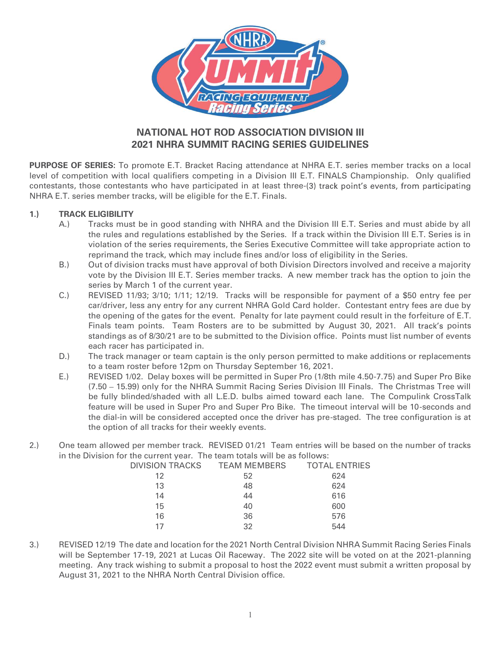

# NATIONAL HOT ROD ASSOCIATION DIVISION III 2021 NHRA SUMMIT RACING SERIES GUIDELINES

PURPOSE OF SERIES: To promote E.T. Bracket Racing attendance at NHRA E.T. series member tracks on a local level of competition with local qualifiers competing in a Division III E.T. FINALS Championship. Only qualified contestants, those contestants who have participated in at least three-(3) track point's events, from participating NHRA E.T. series member tracks, will be eligible for the E.T. Finals.

- the rules and regulations established by the Series. If a track within the Division III E.T. Series is in violation of the series requirements, the Series Executive Committee will take appropriate action to reprimand the track, which may include fines and/or loss of eligibility in the Series. **EXECUTE AND THE CONDUCT CONDUCTS AND THE CONDUCTS CONDUCTS THE CONDUCTS CONDUCTS CONDUCTS THE CONDUCTS CONDUCTS THE CONDUCTS CONDUCTS THE CONDUCTS CONDUCTS THE CONDUCTS CONDUCTS THE CONDUCTS CONDUCTS THE CONDUCTS OF A TH**
- vote by the Division III E.T. Series member tracks. A new member track has the option to join the series by March 1 of the current year.
- CONTRIBUTE TO THE SERVICE THE SERVICE THE SERVICE THAN THE SERVICE THAN SUMMIT TRACING SERIES GUIDELINES<br>
SE OF SERIES: To promote E.T. Bracket Racing attendance at NHRA E.T. series member tracks on a local<br>
competition w car/driver, less any entry for any current NHRA Gold Card holder. Contestant entry fees are due by the opening of the gates for the event. Penalty for late payment could result in the forfeiture of E.T. Finals team points. Team Rosters are to be submitted by August 30, 2021. All track's points standings as of 8/30/21 are to be submitted to the Division office. Points must list number of events each racer has participated in. **EXEL THE SET ARE SET INTERVAL CONDUST THE SET ARE SET INTERVALS CONDICIONATE CONDENSATION CONDENSATION INTERVALS Championship.** Only qualified ants, those condentants who have participated in at least three-(3) track poi E. To point out the discussion of the particle of the Division III E.T. FINALS Championship. Only qualified<br>ants, those condetants who have participated in at least three-(3) track point's events, from participating<br>ants, in er curse and regulatous estations in the beries of the series equirements, the Series Executive Committee will take appropriate action to reprime the track, which may include fines and/or loss of eligibility in the Geri
	- to a team roster before 12pm on Thursday September 16, 2021.
- (7.50 15.99) only for the NHRA Summit Racing Series Division III Finals. The Christmas Tree will be fully blinded/shaded with all L.E.D. bulbs aimed toward each lane. The Compulink CrossTalk feature will be used in Super Pro and Super Pro Bike. The timeout interval will be 10-seconds and the dial-in will be considered accepted once the driver has pre-staged. The tree configuration is at the option of all tracks for their weekly events. standings as of 8/30/21 are to be submitted to the Division office. Points must list number of events<br>
2.) The track manager or team captain is the only person permitted to make additions or replacements<br>
2.) REVISED 1/02.
- in the Division for the current year. The team totals will be as follows:

| 12<br>624<br>52<br>624<br>48<br>13<br>14<br>616<br>44<br>15<br>600<br>40<br>36<br>16<br>576<br>32<br>544<br>17 | DIVISION TRACKS | TEAM MEMBERS | <b>TOTAL ENTRIES</b> |  |
|----------------------------------------------------------------------------------------------------------------|-----------------|--------------|----------------------|--|
|                                                                                                                |                 |              |                      |  |
|                                                                                                                |                 |              |                      |  |
|                                                                                                                |                 |              |                      |  |
|                                                                                                                |                 |              |                      |  |
|                                                                                                                |                 |              |                      |  |
|                                                                                                                |                 |              |                      |  |

will be September 17-19, 2021 at Lucas Oil Raceway. The 2022 site will be voted on at the 2021-planning meeting. Any track wishing to submit a proposal to host the 2022 event must submit a written proposal by August 31, 2021 to the NHRA North Central Division office.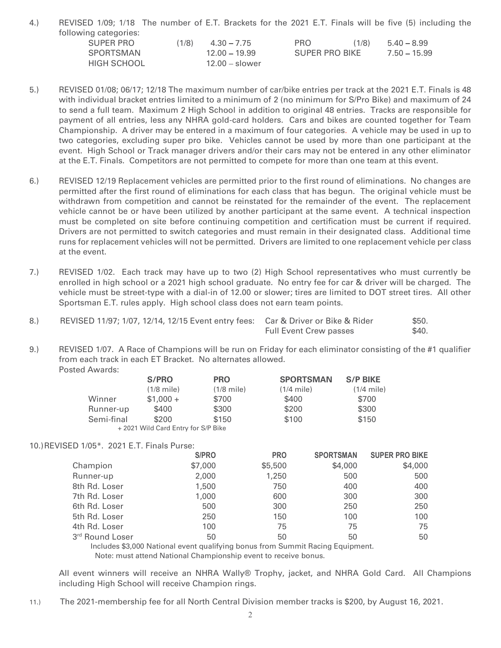| REVISED 1/09; 1/18 The number of E.T. Brackets for the 2021 E.T. Finals will be five (5) including the |       |                                  |                                     |       |                                 |
|--------------------------------------------------------------------------------------------------------|-------|----------------------------------|-------------------------------------|-------|---------------------------------|
| following categories:                                                                                  |       |                                  |                                     |       |                                 |
| <b>SUPER PRO</b><br>SPORTSMAN                                                                          | (1/8) | $4.30 - 7.75$<br>$12.00 - 19.99$ | <b>PRO</b><br><b>SUPER PRO BIKE</b> | (1/8) | $5.40 - 8.99$<br>$7.50 - 15.99$ |

- 6.) REVISED 1/09; 1/18 The number of E.T. Brackets for the 2021 E.T. Finals will be five (5) including the<br>
sUPER PRO (1/8)  $4.30 7.75$  PRO (1/8)  $5.40 8.99$ <br>
SPORTSMAN 12.00 19.99 SUPER PRO BIKE 7.50 15.99<br>
FIGH SC with individual bracket entries limited to a minimum of 2 (no minimum for S/Pro Bike) and maximum of 24 to send a full team. Maximum 2 High School in addition to original 48 entries. Tracks are responsible for payment of all entries, less any NHRA gold-card holders. Cars and bikes are counted together for Team Championship. A driver may be entered in a maximum of four categories. A vehicle may be used in up to two categories, excluding super pro bike. Vehicles cannot be used by more than one participant at the event. High School or Track manager drivers and/or their cars may not be entered in any other eliminator at the E.T. Finals. Competitors are not permitted to compete for more than one team at this event. 8.) REVISED 1709; 1718 The number of E.T. Brackets for the 2021 E.T. Finals will be five (5) including the following categories:  $(1/8)$  4.30 – 7.75 – PRO  $(1/8)$  5.40 – 8.99 SUPER PRO BIKE  $7.50 - 15.99$  HGH SCHOOL  $12.00$ HIGH SCHOOL<br>
TEVISED 01/08; 06/17; 12/18 The maximum number of car/bike entries per track at the 2021 E.T. Finals is 48<br>
with individual bracket entries limited to a minimum of 2 (no minimum for the S/Fro Bike) and maximu
- permitted after the first round of eliminations for each class that has begun. The original vehicle must be withdrawn from competition and cannot be reinstated for the remainder of the event. The replacement vehicle cannot be or have been utilized by another participant at the same event. A technical inspection must be completed on site before continuing competition and certification must be current if required. Drivers are not permitted to switch categories and must remain in their designated class. Additional time runs for replacement vehicles will not be permitted. Drivers are limited to one replacement vehicle per class at the event. or sent at it leads. National 2 rangin scation in adduction to Uriginal 45 entries. Tasks are responsible for<br>the magnicular 2 ranging and the entropy that the maximum of four categories. A vehicles may be used by more th Woo calegories, excluding supper probles. Vehicles cannot be used by more than one participant at the E.T. Finals. Competitors are not permitted to compete for more than one team at this event.<br>6.) ReVisED 12/19 Replaceme
- enrolled in high school or a 2021 high school graduate. No entry fee for car & driver will be charged. The vehicle must be street-type with a dial-in of 12.00 or slower; tires are limited to DOT street tires. All other Sportsman E.T. rules apply. High school class does not earn team points.
- Full Event Crew passes  $$40.$
- from each track in each ET Bracket. No alternates allowed. Posted Awards:

|            | S/PRO                              | <b>PRO</b>   | <b>SPORTSMAN</b> | <b>S/P BIKE</b> |
|------------|------------------------------------|--------------|------------------|-----------------|
|            | (1/8 mile)                         | $(1/8$ mile) | $(1/4$ mile)     | $(1/4$ mile)    |
| Winner     | $$1,000 +$                         | \$700        | \$400            | \$700           |
| Runner-up  | \$400                              | \$300        | \$200            | \$300           |
| Semi-final | \$200                              | \$150        | \$100            | \$150           |
|            | +2021 Wild Card Entry for S/P Bike |              |                  |                 |

### 10.)REVISED 1/05\*. 2021 E.T. Finals Purse:

|                 | S/PRO   | <b>PRO</b> | <b>SPORTSMAN</b> | <b>SUPER PRO BIKE</b> |  |
|-----------------|---------|------------|------------------|-----------------------|--|
| Champion        | \$7,000 | \$5,500    | \$4,000          | \$4,000               |  |
| Runner-up       | 2,000   | 1,250      | 500              | 500                   |  |
| 8th Rd. Loser   | 1,500   | 750        | 400              | 400                   |  |
| 7th Rd. Loser   | 1,000   | 600        | 300              | 300                   |  |
| 6th Rd. Loser   | 500     | 300        | 250              | 250                   |  |
| 5th Rd. Loser   | 250     | 150        | 100              | 100                   |  |
| 4th Rd. Loser   | 100     | 75         | 75               | 75                    |  |
| 3rd Round Loser | 50      | 50         | 50               | 50                    |  |

Includes \$3,000 National event qualifying bonus from Summit Racing Equipment. Note: must attend National Championship event to receive bonus.

All event winners will receive an NHRA Wally® Trophy, jacket, and NHRA Gold Card. All Champions including High School will receive Champion rings.

11.) The 2021-membership fee for all North Central Division member tracks is \$200, by August 16, 2021.